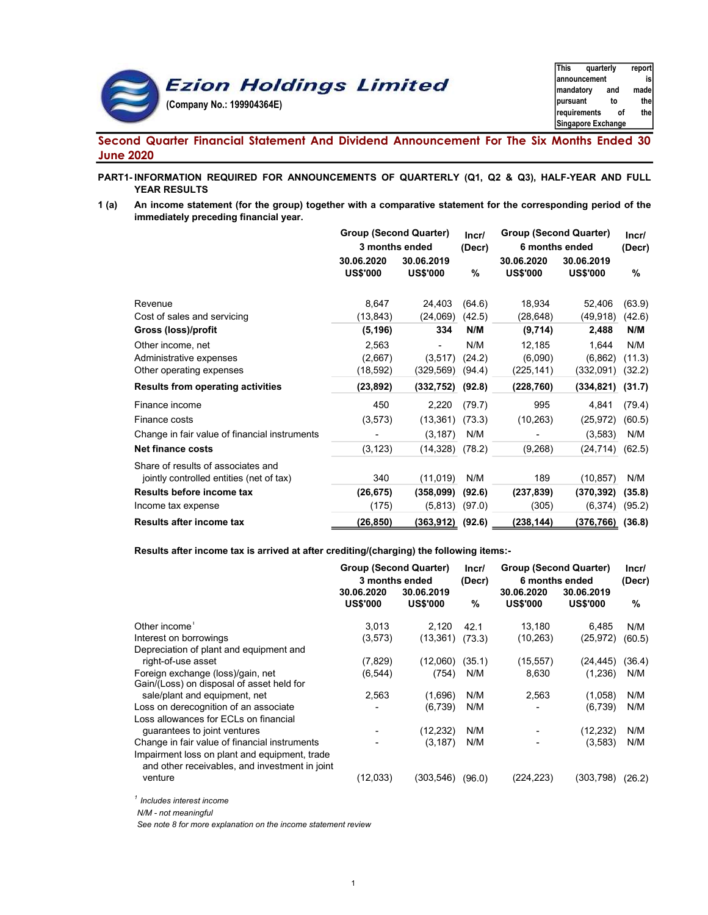

# Second Quarter Financial Statement And Dividend Announcement For The Six Months Ended 30 June 2020

## PART1- INFORMATION REQUIRED FOR ANNOUNCEMENTS OF QUARTERLY (Q1, Q2 & Q3), HALF-YEAR AND FULL YEAR RESULTS

1 (a) An income statement (for the group) together with a comparative statement for the corresponding period of the immediately preceding financial year.

|                                               | <b>Group (Second Quarter)</b><br>3 months ended |                               | Incr/<br>(Decr) | <b>Group (Second Quarter)</b> | 6 months ended                | Incr/<br>(Decr) |  |
|-----------------------------------------------|-------------------------------------------------|-------------------------------|-----------------|-------------------------------|-------------------------------|-----------------|--|
|                                               | 30.06.2020<br><b>US\$'000</b>                   | 30.06.2019<br><b>US\$'000</b> | %               | 30.06.2020<br><b>US\$'000</b> | 30.06.2019<br><b>US\$'000</b> | %               |  |
| Revenue                                       | 8,647                                           | 24,403                        | (64.6)          | 18,934                        | 52,406                        | (63.9)          |  |
| Cost of sales and servicing                   | (13, 843)                                       | (24,069)                      | (42.5)          | (28,648)                      | (49, 918)                     | (42.6)          |  |
| Gross (loss)/profit                           | (5, 196)                                        | 334                           | N/M             | (9,714)                       | 2,488                         | N/M             |  |
| Other income, net                             | 2,563                                           |                               | N/M             | 12,185                        | 1,644                         | N/M             |  |
| Administrative expenses                       | (2,667)                                         | (3,517)                       | (24.2)          | (6,090)                       | (6, 862)                      | (11.3)          |  |
| Other operating expenses                      | (18,592)                                        | (329,569)                     | (94.4)          | (225,141)                     | (332,091)                     | (32.2)          |  |
| <b>Results from operating activities</b>      | (23,892)                                        | (332, 752)                    | (92.8)          | (228, 760)                    | (334, 821)                    | (31.7)          |  |
| Finance income                                | 450                                             | 2,220                         | (79.7)          | 995                           | 4,841                         | (79.4)          |  |
| Finance costs                                 | (3,573)                                         | (13, 361)                     | (73.3)          | (10, 263)                     | (25, 972)                     | (60.5)          |  |
| Change in fair value of financial instruments |                                                 | (3, 187)                      | N/M             |                               | (3, 583)                      | N/M             |  |
| <b>Net finance costs</b>                      | (3, 123)                                        | (14,328)                      | (78.2)          | (9,268)                       | (24, 714)                     | (62.5)          |  |
| Share of results of associates and            |                                                 |                               |                 |                               |                               |                 |  |
| jointly controlled entities (net of tax)      | 340                                             | (11,019)                      | N/M             | 189                           | (10, 857)                     | N/M             |  |
| Results before income tax                     | (26, 675)                                       | (358,099)                     | (92.6)          | (237, 839)                    | (370, 392)                    | (35.8)          |  |
| Income tax expense                            | (175)                                           | (5, 813)                      | (97.0)          | (305)                         | (6, 374)                      | (95.2)          |  |
| <b>Results after income tax</b>               | (26,850)                                        | (363,912)                     | (92.6)          | (238,144)                     | (376,766)                     | (36.8)          |  |

#### Results after income tax is arrived at after crediting/(charging) the following items:-

|                                                                                                 | <b>Group (Second Quarter)</b> |                 | Incr/  | <b>Group (Second Quarter)</b> |                 | Incr/  |  |
|-------------------------------------------------------------------------------------------------|-------------------------------|-----------------|--------|-------------------------------|-----------------|--------|--|
|                                                                                                 | 3 months ended                |                 | (Decr) | 6 months ended                | (Decr)          |        |  |
|                                                                                                 | 30.06.2020                    | 30.06.2019      |        | 30.06.2020                    | 30.06.2019      |        |  |
|                                                                                                 | <b>US\$'000</b>               | <b>US\$'000</b> | %      | <b>US\$'000</b>               | <b>US\$'000</b> | %      |  |
| Other income <sup>1</sup>                                                                       | 3.013                         | 2,120           | 42.1   | 13.180                        | 6.485           | N/M    |  |
| Interest on borrowings                                                                          | (3,573)                       | (13, 361)       | (73.3) | (10, 263)                     | (25, 972)       | (60.5) |  |
| Depreciation of plant and equipment and                                                         |                               |                 |        |                               |                 |        |  |
| right-of-use asset                                                                              | (7,829)                       | (12,060)        | (35.1) | (15, 557)                     | (24, 445)       | (36.4) |  |
| Foreign exchange (loss)/gain, net<br>Gain/(Loss) on disposal of asset held for                  | (6, 544)                      | (754)           | N/M    | 8,630                         | (1,236)         | N/M    |  |
| sale/plant and equipment, net                                                                   | 2,563                         | (1,696)         | N/M    | 2,563                         | (1,058)         | N/M    |  |
| Loss on derecognition of an associate                                                           |                               | (6,739)         | N/M    |                               | (6,739)         | N/M    |  |
| Loss allowances for ECLs on financial                                                           |                               |                 |        |                               |                 |        |  |
| guarantees to joint ventures                                                                    |                               | (12,232)        | N/M    |                               | (12, 232)       | N/M    |  |
| Change in fair value of financial instruments                                                   |                               | (3, 187)        | N/M    |                               | (3,583)         | N/M    |  |
| Impairment loss on plant and equipment, trade<br>and other receivables, and investment in joint |                               |                 |        |                               |                 |        |  |
| venture                                                                                         | (12,033)                      | (303,546)       | (96.0) | (224, 223)                    | (303, 798)      | (26.2) |  |
|                                                                                                 |                               |                 |        |                               |                 |        |  |

 $^\text{1}$  Includes interest income

N/M - not meaningful

See note 8 for more explanation on the income statement review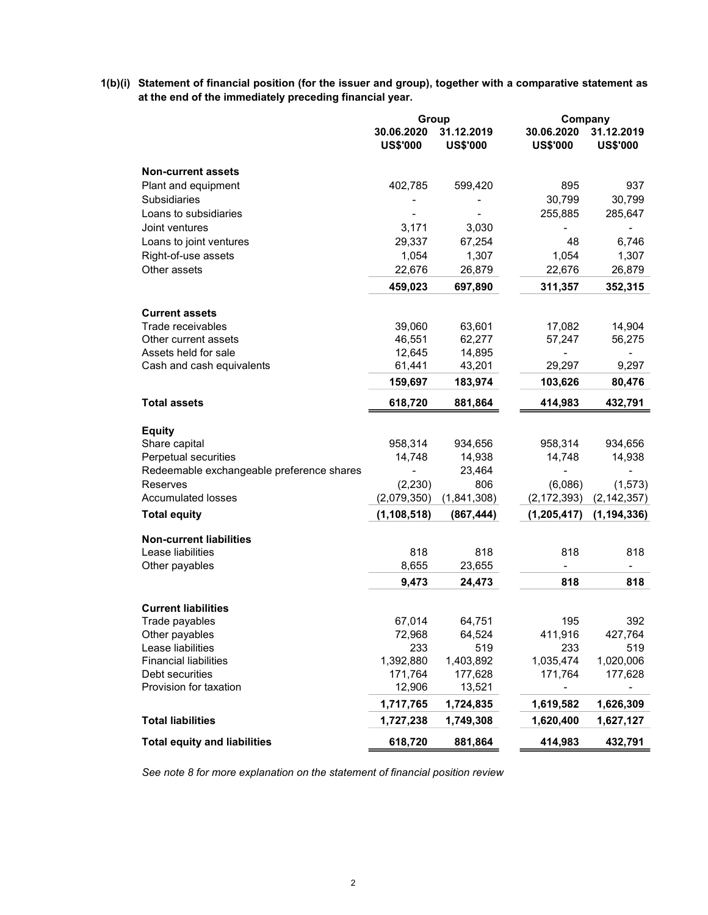1(b)(i) Statement of financial position (for the issuer and group), together with a comparative statement as at the end of the immediately preceding financial year.

|                                                 | Group                         |                               | Company                         |                                 |
|-------------------------------------------------|-------------------------------|-------------------------------|---------------------------------|---------------------------------|
|                                                 | 30.06.2020<br><b>US\$'000</b> | 31.12.2019<br><b>US\$'000</b> | 30.06.2020<br><b>US\$'000</b>   | 31.12.2019<br><b>US\$'000</b>   |
| <b>Non-current assets</b>                       |                               |                               |                                 |                                 |
| Plant and equipment                             | 402,785                       | 599,420                       | 895                             | 937                             |
| <b>Subsidiaries</b>                             |                               |                               | 30,799                          | 30,799                          |
| Loans to subsidiaries                           |                               |                               | 255,885                         | 285,647                         |
| Joint ventures                                  | 3,171                         | 3,030                         |                                 |                                 |
| Loans to joint ventures                         | 29,337                        | 67,254                        | 48                              | 6,746                           |
| Right-of-use assets                             | 1,054                         | 1,307                         | 1,054                           | 1,307                           |
| Other assets                                    | 22,676                        | 26,879                        | 22,676                          | 26,879                          |
|                                                 | 459,023                       | 697,890                       | 311,357                         | 352,315                         |
| <b>Current assets</b>                           |                               |                               |                                 |                                 |
| Trade receivables                               | 39,060                        | 63,601                        | 17,082                          | 14,904                          |
| Other current assets                            | 46,551                        | 62,277                        | 57,247                          | 56,275                          |
| Assets held for sale                            | 12,645                        | 14,895                        |                                 |                                 |
| Cash and cash equivalents                       | 61,441                        | 43,201                        | 29,297                          | 9,297                           |
|                                                 | 159,697                       | 183,974                       | 103,626                         | 80,476                          |
| <b>Total assets</b>                             | 618,720                       | 881,864                       | 414,983                         | 432,791                         |
| <b>Equity</b>                                   |                               |                               |                                 |                                 |
| Share capital                                   | 958,314                       | 934,656                       | 958,314                         | 934,656                         |
| Perpetual securities                            | 14,748                        | 14,938                        | 14,748                          | 14,938                          |
| Redeemable exchangeable preference shares       |                               | 23,464                        |                                 |                                 |
| Reserves                                        | (2,230)                       | 806                           | (6,086)                         | (1, 573)                        |
| <b>Accumulated losses</b>                       | (2,079,350)                   | (1,841,308)                   | (2, 172, 393)                   | (2, 142, 357)                   |
| <b>Total equity</b>                             | (1, 108, 518)                 | (867, 444)                    | (1, 205, 417)                   | (1, 194, 336)                   |
| <b>Non-current liabilities</b>                  |                               |                               |                                 |                                 |
| Lease liabilities                               | 818                           | 818                           | 818                             | 818                             |
| Other payables                                  | 8,655<br>9,473                | 23,655<br>24,473              | $\overline{\phantom{a}}$<br>818 | $\overline{\phantom{0}}$<br>818 |
|                                                 |                               |                               |                                 |                                 |
| <b>Current liabilities</b>                      |                               |                               |                                 |                                 |
| Trade payables                                  | 67,014                        | 64,751                        | 195                             | 392                             |
| Other payables                                  | 72,968                        | 64,524                        | 411,916                         | 427,764                         |
| Lease liabilities                               | 233                           | 519                           | 233                             | 519                             |
| <b>Financial liabilities</b><br>Debt securities | 1,392,880<br>171,764          | 1,403,892                     | 1,035,474                       | 1,020,006                       |
| Provision for taxation                          | 12,906                        | 177,628<br>13,521             | 171,764                         | 177,628                         |
|                                                 | 1,717,765                     | 1,724,835                     | 1,619,582                       | 1,626,309                       |
| <b>Total liabilities</b>                        | 1,727,238                     | 1,749,308                     | 1,620,400                       | 1,627,127                       |
| <b>Total equity and liabilities</b>             | 618,720                       | 881,864                       | 414,983                         | 432,791                         |

See note 8 for more explanation on the statement of financial position review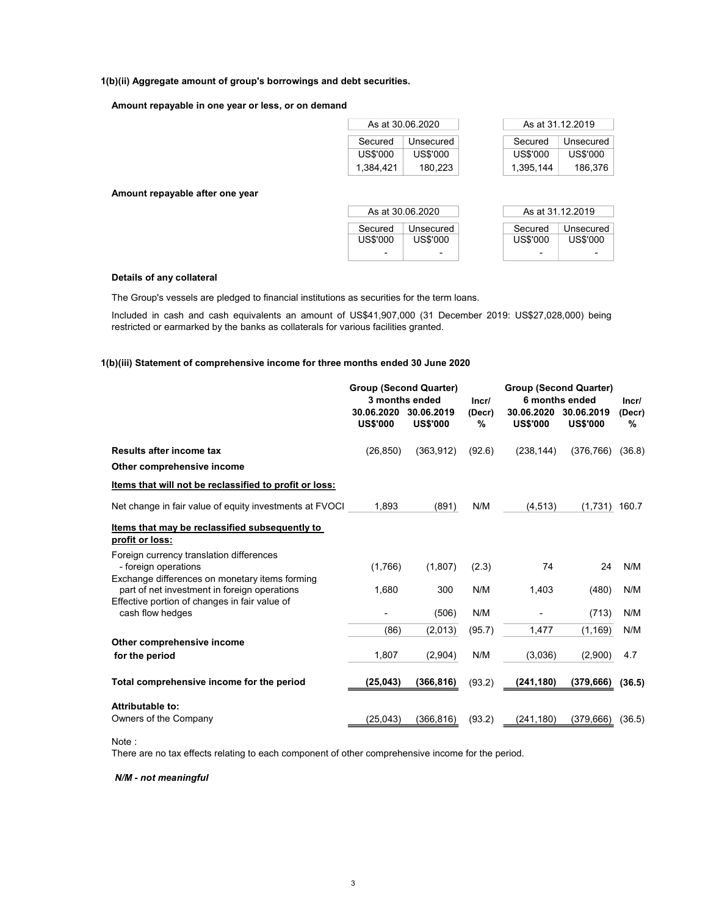### 1(b)(ii) Aggregate amount of group's borrowings and debt securities.

#### Amount repayable in one year or less, or on demand

|           | As at 30.06.2020 |           | As at 31.12.2019 |
|-----------|------------------|-----------|------------------|
| Secured   | Unsecured        | Secured   | Unsecured        |
| US\$'000  | US\$'000         | US\$'000  | US\$'000         |
| 1,384,421 | 180,223          | 1,395,144 | 186,376          |
|           |                  |           |                  |
|           | As at 30.06.2020 |           | As at 31.12.2019 |
| Secured   | Unsecured        | Secured   | Unsecured        |
| US\$'000  | US\$'000         | US\$'000  | US\$'000         |

#### Details of any collateral

Amount repayable after one year

The Group's vessels are pledged to financial institutions as securities for the term loans.

Included in cash and cash equivalents an amount of US\$41,907,000 (31 December 2019: US\$27,028,000) being restricted or earmarked by the banks as collaterals for various facilities granted.

#### 1(b)(iii) Statement of comprehensive income for three months ended 30 June 2020

|                                                                                                                    | <b>Group (Second Quarter)</b> | 3 months ended                | Incr/       |                               | <b>Group (Second Quarter)</b><br>6 months ended | Incr/       |  |
|--------------------------------------------------------------------------------------------------------------------|-------------------------------|-------------------------------|-------------|-------------------------------|-------------------------------------------------|-------------|--|
|                                                                                                                    | 30.06.2020<br><b>US\$'000</b> | 30.06.2019<br><b>US\$'000</b> | (Decr)<br>% | 30.06.2020<br><b>US\$'000</b> | 30.06.2019<br><b>US\$'000</b>                   | (Decr)<br>℅ |  |
| Results after income tax                                                                                           | (26, 850)                     | (363, 912)                    | (92.6)      | (238, 144)                    | (376, 766)                                      | (36.8)      |  |
| Other comprehensive income                                                                                         |                               |                               |             |                               |                                                 |             |  |
| Items that will not be reclassified to profit or loss:                                                             |                               |                               |             |                               |                                                 |             |  |
| Net change in fair value of equity investments at FVOCI                                                            | 1,893                         | (891)                         | N/M         | (4, 513)                      | $(1,731)$ 160.7                                 |             |  |
| Items that may be reclassified subsequently to<br>profit or loss:                                                  |                               |                               |             |                               |                                                 |             |  |
| Foreign currency translation differences<br>- foreign operations<br>Exchange differences on monetary items forming | (1,766)                       | (1,807)                       | (2.3)       | 74                            | 24                                              | N/M         |  |
| part of net investment in foreign operations<br>Effective portion of changes in fair value of                      | 1,680                         | 300                           | N/M         | 1,403                         | (480)                                           | N/M         |  |
| cash flow hedges                                                                                                   | ۰                             | (506)                         | N/M         | ۰                             | (713)                                           | N/M         |  |
|                                                                                                                    | (86)                          | (2,013)                       | (95.7)      | 1,477                         | (1, 169)                                        | N/M         |  |
| Other comprehensive income                                                                                         |                               |                               |             |                               |                                                 |             |  |
| for the period                                                                                                     | 1,807                         | (2,904)                       | N/M         | (3,036)                       | (2,900)                                         | 4.7         |  |
| Total comprehensive income for the period                                                                          | (25, 043)                     | (366, 816)                    | (93.2)      | (241, 180)                    | (379, 666)                                      | (36.5)      |  |
| Attributable to:                                                                                                   |                               |                               |             |                               |                                                 |             |  |
| Owners of the Company                                                                                              | (25, 043)                     | (366, 816)                    | (93.2)      | (241,180)                     | (379, 666)                                      | (36.5)      |  |

Note :

There are no tax effects relating to each component of other comprehensive income for the period.

#### N/M - not meaningful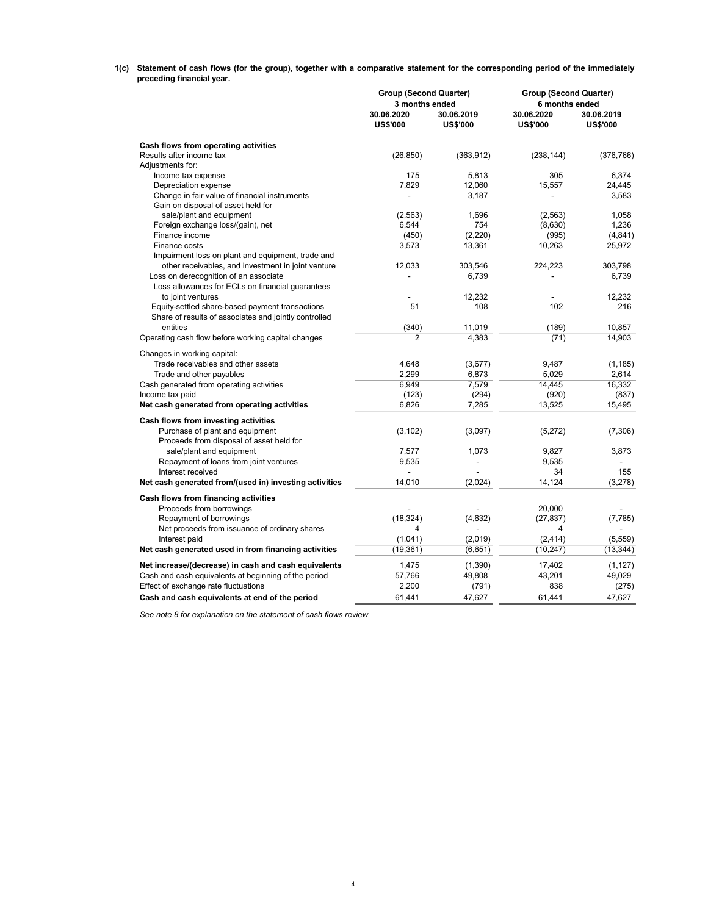1(c) Statement of cash flows (for the group), together with a comparative statement for the corresponding period of the immediately preceding financial year.

|                                                        | <b>Group (Second Quarter)</b> |                               | <b>Group (Second Quarter)</b> |                               |  |  |
|--------------------------------------------------------|-------------------------------|-------------------------------|-------------------------------|-------------------------------|--|--|
|                                                        | 3 months ended                |                               | 6 months ended                |                               |  |  |
|                                                        | 30.06.2020<br><b>US\$'000</b> | 30.06.2019<br><b>US\$'000</b> | 30.06.2020<br><b>US\$'000</b> | 30.06.2019<br><b>US\$'000</b> |  |  |
| Cash flows from operating activities                   |                               |                               |                               |                               |  |  |
| Results after income tax                               | (26, 850)                     | (363, 912)                    | (238, 144)                    | (376, 766)                    |  |  |
| Adjustments for:                                       |                               |                               |                               |                               |  |  |
| Income tax expense                                     | 175                           | 5,813                         | 305                           | 6,374                         |  |  |
| Depreciation expense                                   | 7,829                         | 12,060                        | 15,557                        | 24,445                        |  |  |
| Change in fair value of financial instruments          | $\qquad \qquad \blacksquare$  | 3,187                         |                               | 3,583                         |  |  |
| Gain on disposal of asset held for                     |                               |                               |                               |                               |  |  |
| sale/plant and equipment                               | (2,563)                       | 1,696                         | (2,563)                       | 1,058                         |  |  |
| Foreign exchange loss/(gain), net                      | 6,544                         | 754                           | (8,630)                       | 1,236                         |  |  |
| Finance income                                         | (450)                         | (2,220)                       | (995)                         | (4, 841)                      |  |  |
| Finance costs                                          | 3,573                         | 13,361                        | 10,263                        | 25,972                        |  |  |
| Impairment loss on plant and equipment, trade and      |                               |                               |                               |                               |  |  |
| other receivables, and investment in joint venture     | 12,033                        | 303,546                       | 224,223                       | 303.798                       |  |  |
| Loss on derecognition of an associate                  |                               | 6,739                         |                               | 6,739                         |  |  |
| Loss allowances for ECLs on financial quarantees       |                               |                               |                               |                               |  |  |
| to joint ventures                                      |                               | 12,232                        |                               | 12,232                        |  |  |
| Equity-settled share-based payment transactions        | 51                            | 108                           | 102                           | 216                           |  |  |
| Share of results of associates and jointly controlled  |                               |                               |                               |                               |  |  |
| entities                                               | (340)                         | 11,019                        | (189)                         | 10.857                        |  |  |
| Operating cash flow before working capital changes     | $\overline{2}$                | 4,383                         | (71)                          | 14,903                        |  |  |
|                                                        |                               |                               |                               |                               |  |  |
| Changes in working capital:                            |                               |                               |                               |                               |  |  |
| Trade receivables and other assets                     | 4,648                         | (3,677)                       | 9,487                         | (1, 185)                      |  |  |
| Trade and other payables                               | 2.299                         | 6,873                         | 5.029                         | 2.614                         |  |  |
| Cash generated from operating activities               | 6,949                         | 7,579                         | 14,445                        | 16,332                        |  |  |
| Income tax paid                                        | (123)                         | (294)                         | (920)                         | (837)                         |  |  |
| Net cash generated from operating activities           | 6,826                         | 7,285                         | 13,525                        | 15,495                        |  |  |
| Cash flows from investing activities                   |                               |                               |                               |                               |  |  |
| Purchase of plant and equipment                        | (3, 102)                      | (3,097)                       | (5,272)                       | (7,306)                       |  |  |
| Proceeds from disposal of asset held for               |                               |                               |                               |                               |  |  |
| sale/plant and equipment                               | 7,577                         | 1,073                         | 9,827                         | 3,873                         |  |  |
| Repayment of loans from joint ventures                 | 9,535                         | $\overline{a}$                | 9,535                         | $\overline{a}$                |  |  |
| Interest received                                      |                               |                               | 34                            | 155                           |  |  |
| Net cash generated from/(used in) investing activities | 14,010                        | (2,024)                       | 14,124                        | (3,278)                       |  |  |
|                                                        |                               |                               |                               |                               |  |  |
| Cash flows from financing activities                   |                               |                               |                               |                               |  |  |
| Proceeds from borrowings                               |                               |                               | 20,000                        |                               |  |  |
| Repayment of borrowings                                | (18, 324)                     | (4,632)                       | (27, 837)                     | (7, 785)                      |  |  |
| Net proceeds from issuance of ordinary shares          | 4                             |                               | 4                             |                               |  |  |
| Interest paid                                          | (1,041)                       | (2,019)                       | (2, 414)                      | (5,559)                       |  |  |
| Net cash generated used in from financing activities   | (19, 361)                     | (6,651)                       | (10, 247)                     | (13, 344)                     |  |  |
| Net increase/(decrease) in cash and cash equivalents   | 1,475                         | (1,390)                       | 17,402                        | (1, 127)                      |  |  |
| Cash and cash equivalents at beginning of the period   | 57,766                        | 49,808                        | 43,201                        | 49,029                        |  |  |
| Effect of exchange rate fluctuations                   | 2,200                         | (791)                         | 838                           | (275)                         |  |  |
| Cash and cash equivalents at end of the period         | 61,441                        | 47,627                        | 61,441                        | 47,627                        |  |  |
|                                                        |                               |                               |                               |                               |  |  |

See note 8 for explanation on the statement of cash flows review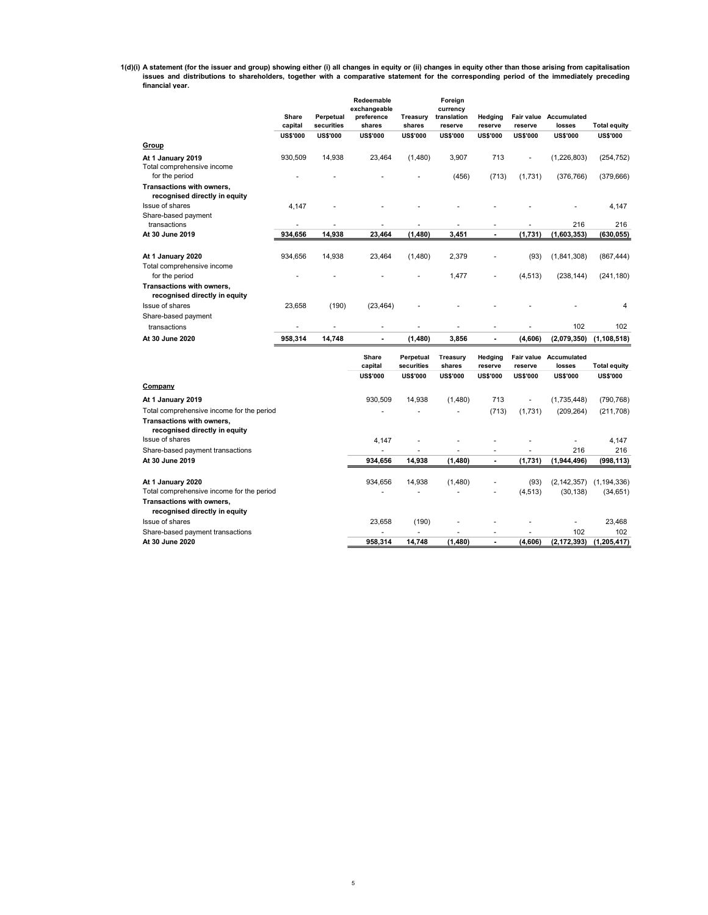1(d)(i) A statement (for the issuer and group) showing either (i) all changes in equity or (ii) changes in equity other than those arising from capitalisation<br>issues and distributions to shareholders, together with a compa financial year.

|                                                                   | Share<br>capital | Perpetual<br>securities | Redeemable<br>exchangeable<br>preference<br>shares | Treasury<br>shares      | Foreign<br>currency<br>translation<br>reserve | Hedging<br>reserve | Fair value<br>reserve | <b>Accumulated</b><br>losses | <b>Total equity</b>      |
|-------------------------------------------------------------------|------------------|-------------------------|----------------------------------------------------|-------------------------|-----------------------------------------------|--------------------|-----------------------|------------------------------|--------------------------|
| Group                                                             | <b>US\$'000</b>  | <b>US\$'000</b>         | <b>US\$'000</b>                                    | <b>US\$'000</b>         | <b>US\$'000</b>                               | <b>US\$'000</b>    | <b>US\$'000</b>       | <b>US\$'000</b>              | <b>US\$'000</b>          |
|                                                                   |                  |                         |                                                    |                         |                                               |                    |                       |                              |                          |
| At 1 January 2019<br>Total comprehensive income<br>for the period | 930,509          | 14,938                  | 23,464                                             | (1,480)                 | 3,907<br>(456)                                | 713<br>(713)       | (1,731)               | (1,226,803)<br>(376, 766)    | (254, 752)<br>(379, 666) |
| Transactions with owners,<br>recognised directly in equity        |                  |                         |                                                    |                         |                                               |                    |                       |                              |                          |
| Issue of shares                                                   | 4,147            |                         |                                                    |                         |                                               |                    |                       |                              | 4,147                    |
| Share-based payment<br>transactions                               | ä,               | $\overline{a}$          |                                                    | $\overline{a}$          |                                               |                    | ä,                    | 216                          | 216                      |
| At 30 June 2019                                                   | 934,656          | 14,938                  | 23,464                                             | (1,480)                 | 3,451                                         |                    | (1,731)               | (1,603,353)                  | (630, 055)               |
|                                                                   |                  |                         |                                                    |                         |                                               |                    |                       |                              |                          |
| At 1 January 2020                                                 | 934,656          | 14,938                  | 23,464                                             | (1,480)                 | 2,379                                         |                    | (93)                  | (1,841,308)                  | (867, 444)               |
| Total comprehensive income<br>for the period                      |                  |                         |                                                    |                         | 1,477                                         |                    | (4, 513)              | (238, 144)                   | (241, 180)               |
| Transactions with owners,<br>recognised directly in equity        |                  |                         |                                                    |                         |                                               |                    |                       |                              |                          |
| Issue of shares                                                   | 23,658           | (190)                   | (23, 464)                                          |                         |                                               |                    |                       |                              | 4                        |
| Share-based payment                                               |                  |                         |                                                    |                         |                                               |                    |                       |                              |                          |
| transactions                                                      |                  |                         |                                                    |                         |                                               |                    |                       | 102                          | 102                      |
| At 30 June 2020                                                   | 958,314          | 14,748                  | ÷                                                  | (1,480)                 | 3,856                                         | $\blacksquare$     | (4,606)               | (2,079,350)                  | (1, 108, 518)            |
|                                                                   |                  |                         | Share<br>capital                                   | Perpetual<br>securities | Treasury<br>shares                            | Hedging<br>reserve | Fair value<br>reserve | Accumulated<br>losses        | <b>Total equity</b>      |
|                                                                   |                  |                         | <b>US\$'000</b>                                    | <b>US\$'000</b>         | <b>US\$'000</b>                               | <b>US\$'000</b>    | <b>US\$'000</b>       | <b>US\$'000</b>              | <b>US\$'000</b>          |
| Company                                                           |                  |                         |                                                    |                         |                                               |                    |                       |                              |                          |
| At 1 January 2019                                                 |                  |                         | 930,509                                            | 14,938                  | (1,480)                                       | 713                | ÷,                    | (1,735,448)                  | (790, 768)               |
| Total comprehensive income for the period                         |                  |                         |                                                    |                         |                                               | (713)              | (1,731)               | (209, 264)                   | (211, 708)               |
| Transactions with owners,<br>recognised directly in equity        |                  |                         |                                                    |                         |                                               |                    |                       |                              |                          |
| Issue of shares                                                   |                  |                         | 4.147                                              |                         |                                               |                    |                       |                              | 4,147                    |
| Share-based payment transactions                                  |                  |                         | ä,                                                 |                         |                                               |                    |                       | 216                          | 216                      |
| At 30 June 2019                                                   |                  |                         | 934.656                                            | 14,938                  | (1,480)                                       | $\blacksquare$     | (1,731)               | (1,944,496)                  | (998, 113)               |
| At 1 January 2020                                                 |                  |                         | 934,656                                            | 14,938                  | (1,480)                                       |                    | (93)                  | (2, 142, 357)                | (1, 194, 336)            |
| Total comprehensive income for the period                         |                  |                         |                                                    |                         |                                               | ÷                  | (4, 513)              | (30, 138)                    | (34, 651)                |
| Transactions with owners,<br>recognised directly in equity        |                  |                         |                                                    |                         |                                               |                    |                       |                              |                          |
| Issue of shares                                                   |                  |                         | 23.658                                             | (190)                   |                                               |                    |                       | L,                           | 23,468                   |
| Share-based payment transactions                                  |                  |                         |                                                    |                         |                                               | ÷                  | $\ddot{\phantom{1}}$  | 102                          | 102                      |
| At 30 June 2020                                                   |                  |                         | 958.314                                            | 14.748                  | (1,480)                                       | $\blacksquare$     | (4,606)               | (2, 172, 393)                | (1, 205, 417)            |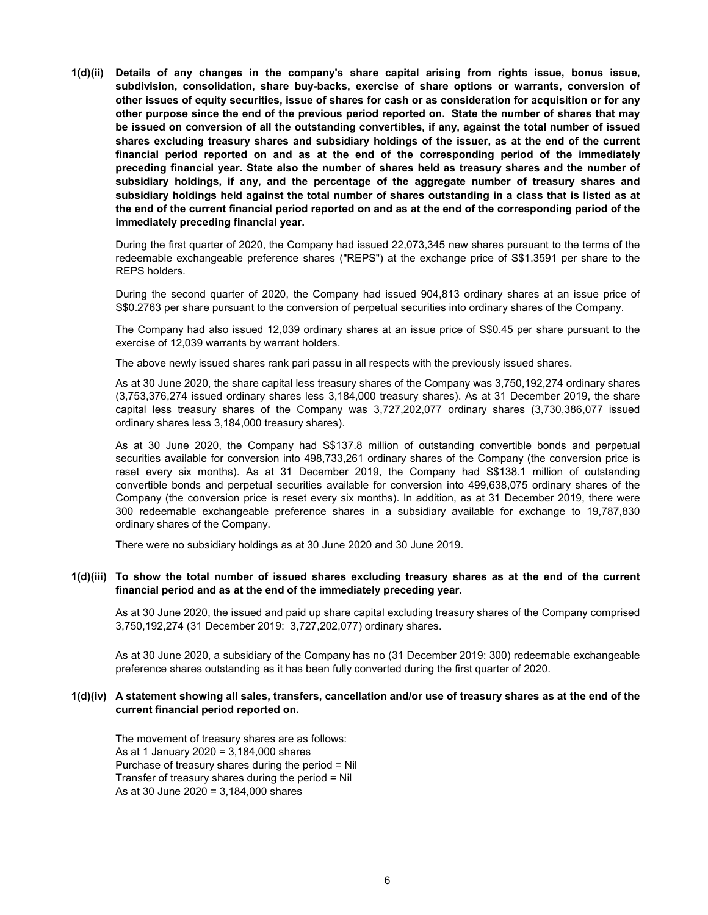1(d)(ii) Details of any changes in the company's share capital arising from rights issue, bonus issue, subdivision, consolidation, share buy-backs, exercise of share options or warrants, conversion of other issues of equity securities, issue of shares for cash or as consideration for acquisition or for any other purpose since the end of the previous period reported on. State the number of shares that may be issued on conversion of all the outstanding convertibles, if any, against the total number of issued shares excluding treasury shares and subsidiary holdings of the issuer, as at the end of the current financial period reported on and as at the end of the corresponding period of the immediately preceding financial year. State also the number of shares held as treasury shares and the number of subsidiary holdings, if any, and the percentage of the aggregate number of treasury shares and subsidiary holdings held against the total number of shares outstanding in a class that is listed as at the end of the current financial period reported on and as at the end of the corresponding period of the immediately preceding financial year.

During the first quarter of 2020, the Company had issued 22,073,345 new shares pursuant to the terms of the redeemable exchangeable preference shares ("REPS") at the exchange price of S\$1.3591 per share to the REPS holders.

During the second quarter of 2020, the Company had issued 904,813 ordinary shares at an issue price of S\$0.2763 per share pursuant to the conversion of perpetual securities into ordinary shares of the Company.

The Company had also issued 12,039 ordinary shares at an issue price of S\$0.45 per share pursuant to the exercise of 12,039 warrants by warrant holders.

The above newly issued shares rank pari passu in all respects with the previously issued shares.

As at 30 June 2020, the share capital less treasury shares of the Company was 3,750,192,274 ordinary shares (3,753,376,274 issued ordinary shares less 3,184,000 treasury shares). As at 31 December 2019, the share capital less treasury shares of the Company was 3,727,202,077 ordinary shares (3,730,386,077 issued ordinary shares less 3,184,000 treasury shares).

As at 30 June 2020, the Company had S\$137.8 million of outstanding convertible bonds and perpetual securities available for conversion into 498,733,261 ordinary shares of the Company (the conversion price is reset every six months). As at 31 December 2019, the Company had S\$138.1 million of outstanding convertible bonds and perpetual securities available for conversion into 499,638,075 ordinary shares of the Company (the conversion price is reset every six months). In addition, as at 31 December 2019, there were 300 redeemable exchangeable preference shares in a subsidiary available for exchange to 19,787,830 ordinary shares of the Company.

There were no subsidiary holdings as at 30 June 2020 and 30 June 2019.

# 1(d)(iii) To show the total number of issued shares excluding treasury shares as at the end of the current financial period and as at the end of the immediately preceding year.

As at 30 June 2020, the issued and paid up share capital excluding treasury shares of the Company comprised 3,750,192,274 (31 December 2019: 3,727,202,077) ordinary shares.

As at 30 June 2020, a subsidiary of the Company has no (31 December 2019: 300) redeemable exchangeable preference shares outstanding as it has been fully converted during the first quarter of 2020.

# 1(d)(iv) A statement showing all sales, transfers, cancellation and/or use of treasury shares as at the end of the current financial period reported on.

The movement of treasury shares are as follows: As at 1 January 2020 = 3,184,000 shares Purchase of treasury shares during the period = Nil Transfer of treasury shares during the period = Nil As at 30 June 2020 = 3,184,000 shares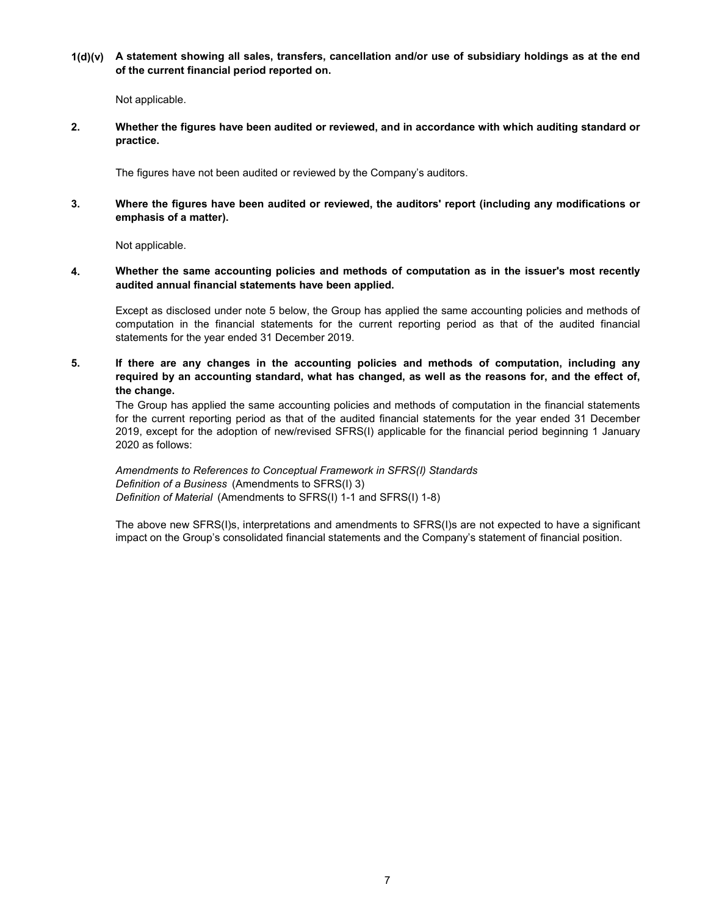1(d)(v) A statement showing all sales, transfers, cancellation and/or use of subsidiary holdings as at the end of the current financial period reported on.

Not applicable.

2. Whether the figures have been audited or reviewed, and in accordance with which auditing standard or practice.

The figures have not been audited or reviewed by the Company's auditors.

3. Where the figures have been audited or reviewed, the auditors' report (including any modifications or emphasis of a matter).

Not applicable.

4. Whether the same accounting policies and methods of computation as in the issuer's most recently audited annual financial statements have been applied.

Except as disclosed under note 5 below, the Group has applied the same accounting policies and methods of computation in the financial statements for the current reporting period as that of the audited financial statements for the year ended 31 December 2019.

5. If there are any changes in the accounting policies and methods of computation, including any required by an accounting standard, what has changed, as well as the reasons for, and the effect of, the change.

The Group has applied the same accounting policies and methods of computation in the financial statements for the current reporting period as that of the audited financial statements for the year ended 31 December 2019, except for the adoption of new/revised SFRS(I) applicable for the financial period beginning 1 January 2020 as follows:

Definition of Material (Amendments to SFRS(I) 1-1 and SFRS(I) 1-8) Definition of a Business (Amendments to SFRS(I) 3) Amendments to References to Conceptual Framework in SFRS(I) Standards

The above new SFRS(I)s, interpretations and amendments to SFRS(I)s are not expected to have a significant impact on the Group's consolidated financial statements and the Company's statement of financial position.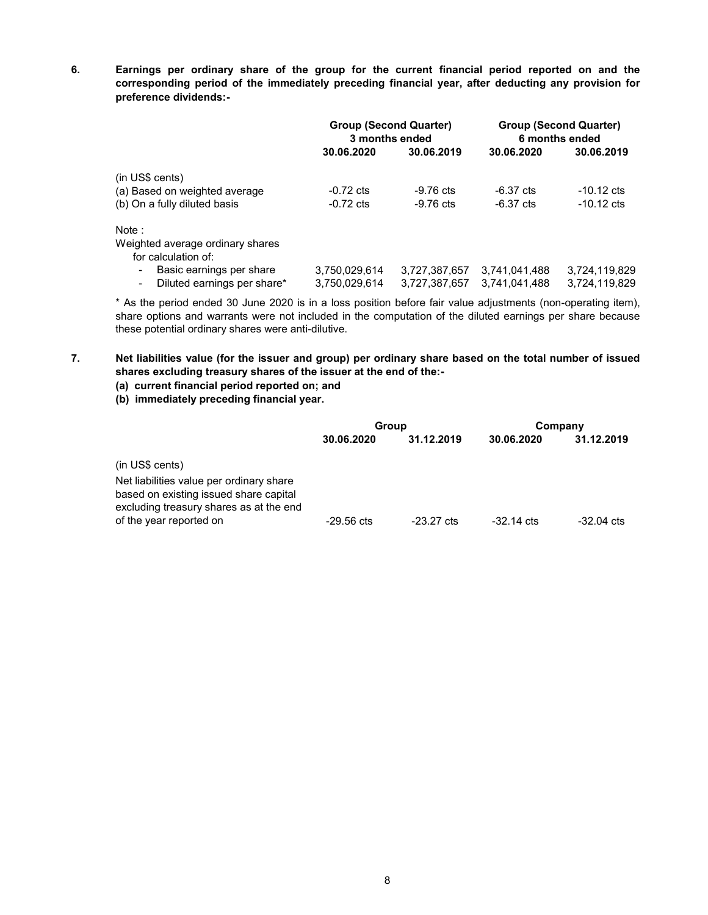6. Earnings per ordinary share of the group for the current financial period reported on and the corresponding period of the immediately preceding financial year, after deducting any provision for preference dividends:-

|                                                                                                       | <b>Group (Second Quarter)</b><br>3 months ended |                                | <b>Group (Second Quarter)</b><br>6 months ended |                                |
|-------------------------------------------------------------------------------------------------------|-------------------------------------------------|--------------------------------|-------------------------------------------------|--------------------------------|
|                                                                                                       | 30.06.2020                                      | 30.06.2019                     | 30.06.2020                                      | 30.06.2019                     |
| $(in US\ cents)$                                                                                      |                                                 |                                |                                                 |                                |
| (a) Based on weighted average                                                                         | $-0.72$ cts                                     | $-9.76$ cts                    | $-6.37 \text{ cts}$                             | $-10.12 \text{ cts}$           |
| (b) On a fully diluted basis                                                                          | $-0.72$ cts                                     | $-9.76$ cts                    | $-6.37$ cts                                     | $-10.12 \text{ cts}$           |
| Note:                                                                                                 |                                                 |                                |                                                 |                                |
| Weighted average ordinary shares<br>for calculation of:                                               |                                                 |                                |                                                 |                                |
| Basic earnings per share<br>$\blacksquare$<br>Diluted earnings per share*<br>$\overline{\phantom{a}}$ | 3,750,029,614<br>3,750,029,614                  | 3,727,387,657<br>3,727,387,657 | 3,741,041,488<br>3,741,041,488                  | 3,724,119,829<br>3,724,119,829 |

\* As the period ended 30 June 2020 is in a loss position before fair value adjustments (non-operating item), share options and warrants were not included in the computation of the diluted earnings per share because these potential ordinary shares were anti-dilutive.

7. Net liabilities value (for the issuer and group) per ordinary share based on the total number of issued shares excluding treasury shares of the issuer at the end of the:-

## (a) current financial period reported on; and

(b) immediately preceding financial year.

|                                                                                   | Group        |                      | Company              |            |  |
|-----------------------------------------------------------------------------------|--------------|----------------------|----------------------|------------|--|
|                                                                                   | 30.06.2020   | 31.12.2019           | 30.06.2020           | 31.12.2019 |  |
| (in US\$ cents)                                                                   |              |                      |                      |            |  |
| Net liabilities value per ordinary share                                          |              |                      |                      |            |  |
| based on existing issued share capital<br>excluding treasury shares as at the end |              |                      |                      |            |  |
| of the year reported on                                                           | $-29.56$ cts | $-23.27 \text{ cts}$ | $-32.14 \text{ cts}$ | -32.04 cts |  |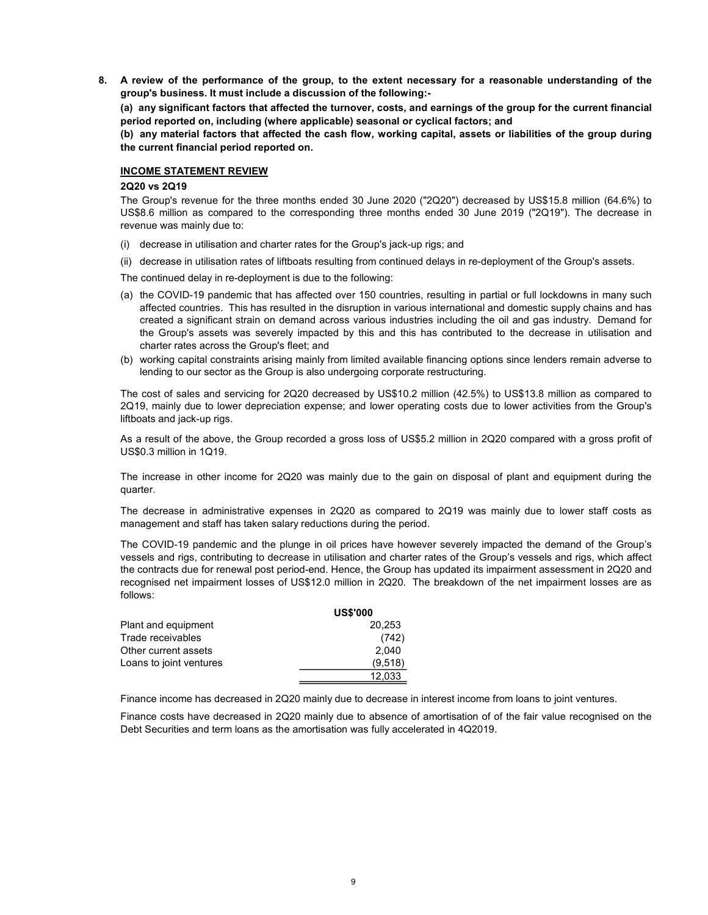8. A review of the performance of the group, to the extent necessary for a reasonable understanding of the group's business. It must include a discussion of the following:-

(a) any significant factors that affected the turnover, costs, and earnings of the group for the current financial period reported on, including (where applicable) seasonal or cyclical factors; and

(b) any material factors that affected the cash flow, working capital, assets or liabilities of the group during the current financial period reported on.

### INCOME STATEMENT REVIEW

#### 2Q20 vs 2Q19

The Group's revenue for the three months ended 30 June 2020 ("2Q20") decreased by US\$15.8 million (64.6%) to US\$8.6 million as compared to the corresponding three months ended 30 June 2019 ("2Q19"). The decrease in revenue was mainly due to:

- (i) decrease in utilisation and charter rates for the Group's jack-up rigs; and
- (ii) decrease in utilisation rates of liftboats resulting from continued delays in re-deployment of the Group's assets.

The continued delay in re-deployment is due to the following:

- (a) the COVID-19 pandemic that has affected over 150 countries, resulting in partial or full lockdowns in many such affected countries. This has resulted in the disruption in various international and domestic supply chains and has created a significant strain on demand across various industries including the oil and gas industry. Demand for the Group's assets was severely impacted by this and this has contributed to the decrease in utilisation and charter rates across the Group's fleet; and
- (b) working capital constraints arising mainly from limited available financing options since lenders remain adverse to lending to our sector as the Group is also undergoing corporate restructuring.

The cost of sales and servicing for 2Q20 decreased by US\$10.2 million (42.5%) to US\$13.8 million as compared to 2Q19, mainly due to lower depreciation expense; and lower operating costs due to lower activities from the Group's liftboats and jack-up rigs.

As a result of the above, the Group recorded a gross loss of US\$5.2 million in 2Q20 compared with a gross profit of US\$0.3 million in 1Q19.

The increase in other income for 2Q20 was mainly due to the gain on disposal of plant and equipment during the quarter.

The decrease in administrative expenses in 2Q20 as compared to 2Q19 was mainly due to lower staff costs as management and staff has taken salary reductions during the period.

The COVID-19 pandemic and the plunge in oil prices have however severely impacted the demand of the Group's vessels and rigs, contributing to decrease in utilisation and charter rates of the Group's vessels and rigs, which affect the contracts due for renewal post period-end. Hence, the Group has updated its impairment assessment in 2Q20 and recognised net impairment losses of US\$12.0 million in 2Q20. The breakdown of the net impairment losses are as follows:

|                         | <b>US\$'000</b> |
|-------------------------|-----------------|
| Plant and equipment     | 20,253          |
| Trade receivables       | (742)           |
| Other current assets    | 2.040           |
| Loans to joint ventures | (9,518)         |
|                         | 12.033          |

Finance income has decreased in 2Q20 mainly due to decrease in interest income from loans to joint ventures.

Finance costs have decreased in 2Q20 mainly due to absence of amortisation of of the fair value recognised on the Debt Securities and term loans as the amortisation was fully accelerated in 4Q2019.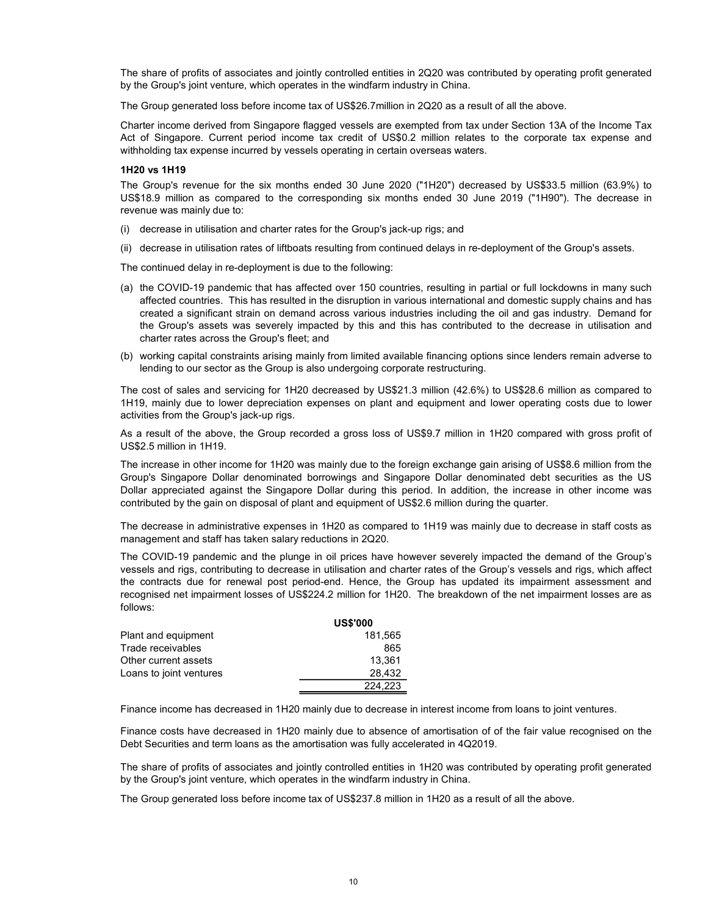The share of profits of associates and jointly controlled entities in 2Q20 was contributed by operating profit generated by the Group's joint venture, which operates in the windfarm industry in China.

The Group generated loss before income tax of US\$26.7million in 2Q20 as a result of all the above.

Charter income derived from Singapore flagged vessels are exempted from tax under Section 13A of the Income Tax Act of Singapore. Current period income tax credit of US\$0.2 million relates to the corporate tax expense and withholding tax expense incurred by vessels operating in certain overseas waters.

#### 1H20 vs 1H19

The Group's revenue for the six months ended 30 June 2020 ("1H20") decreased by US\$33.5 million (63.9%) to US\$18.9 million as compared to the corresponding six months ended 30 June 2019 ("1H90"). The decrease in revenue was mainly due to:

- (i) decrease in utilisation and charter rates for the Group's jack-up rigs; and
- (ii) decrease in utilisation rates of liftboats resulting from continued delays in re-deployment of the Group's assets.

The continued delay in re-deployment is due to the following:

- (a) the COVID-19 pandemic that has affected over 150 countries, resulting in partial or full lockdowns in many such affected countries. This has resulted in the disruption in various international and domestic supply chains and has created a significant strain on demand across various industries including the oil and gas industry. Demand for the Group's assets was severely impacted by this and this has contributed to the decrease in utilisation and charter rates across the Group's fleet; and
- (b) working capital constraints arising mainly from limited available financing options since lenders remain adverse to lending to our sector as the Group is also undergoing corporate restructuring.

The cost of sales and servicing for 1H20 decreased by US\$21.3 million (42.6%) to US\$28.6 million as compared to 1H19, mainly due to lower depreciation expenses on plant and equipment and lower operating costs due to lower activities from the Group's jack-up rigs.

As a result of the above, the Group recorded a gross loss of US\$9.7 million in 1H20 compared with gross profit of US\$2.5 million in 1H19.

The increase in other income for 1H20 was mainly due to the foreign exchange gain arising of US\$8.6 million from the Group's Singapore Dollar denominated borrowings and Singapore Dollar denominated debt securities as the US Dollar appreciated against the Singapore Dollar during this period. In addition, the increase in other income was contributed by the gain on disposal of plant and equipment of US\$2.6 million during the quarter.

The decrease in administrative expenses in 1H20 as compared to 1H19 was mainly due to decrease in staff costs as management and staff has taken salary reductions in 2Q20.

The COVID-19 pandemic and the plunge in oil prices have however severely impacted the demand of the Group's vessels and rigs, contributing to decrease in utilisation and charter rates of the Group's vessels and rigs, which affect the contracts due for renewal post period-end. Hence, the Group has updated its impairment assessment and recognised net impairment losses of US\$224.2 million for 1H20. The breakdown of the net impairment losses are as follows:

|                         | <b>US\$'000</b> |
|-------------------------|-----------------|
| Plant and equipment     | 181.565         |
| Trade receivables       | 865             |
| Other current assets    | 13.361          |
| Loans to joint ventures | 28.432          |
|                         | 224.223         |

Finance income has decreased in 1H20 mainly due to decrease in interest income from loans to joint ventures.

Finance costs have decreased in 1H20 mainly due to absence of amortisation of of the fair value recognised on the Debt Securities and term loans as the amortisation was fully accelerated in 4Q2019.

The share of profits of associates and jointly controlled entities in 1H20 was contributed by operating profit generated by the Group's joint venture, which operates in the windfarm industry in China.

The Group generated loss before income tax of US\$237.8 million in 1H20 as a result of all the above.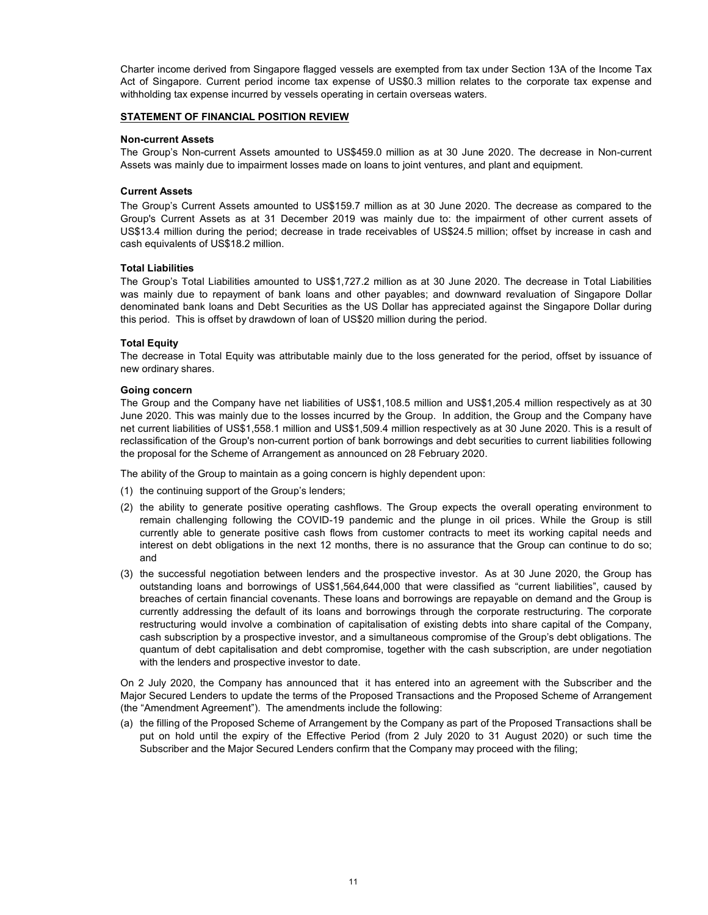Charter income derived from Singapore flagged vessels are exempted from tax under Section 13A of the Income Tax Act of Singapore. Current period income tax expense of US\$0.3 million relates to the corporate tax expense and withholding tax expense incurred by vessels operating in certain overseas waters.

#### STATEMENT OF FINANCIAL POSITION REVIEW

#### Non-current Assets

The Group's Non-current Assets amounted to US\$459.0 million as at 30 June 2020. The decrease in Non-current Assets was mainly due to impairment losses made on loans to joint ventures, and plant and equipment.

## Current Assets

The Group's Current Assets amounted to US\$159.7 million as at 30 June 2020. The decrease as compared to the Group's Current Assets as at 31 December 2019 was mainly due to: the impairment of other current assets of US\$13.4 million during the period; decrease in trade receivables of US\$24.5 million; offset by increase in cash and cash equivalents of US\$18.2 million.

### Total Liabilities

The Group's Total Liabilities amounted to US\$1,727.2 million as at 30 June 2020. The decrease in Total Liabilities was mainly due to repayment of bank loans and other payables; and downward revaluation of Singapore Dollar denominated bank loans and Debt Securities as the US Dollar has appreciated against the Singapore Dollar during this period. This is offset by drawdown of loan of US\$20 million during the period.

### Total Equity

The decrease in Total Equity was attributable mainly due to the loss generated for the period, offset by issuance of new ordinary shares.

### Going concern

The Group and the Company have net liabilities of US\$1,108.5 million and US\$1,205.4 million respectively as at 30 June 2020. This was mainly due to the losses incurred by the Group. In addition, the Group and the Company have net current liabilities of US\$1,558.1 million and US\$1,509.4 million respectively as at 30 June 2020. This is a result of reclassification of the Group's non-current portion of bank borrowings and debt securities to current liabilities following the proposal for the Scheme of Arrangement as announced on 28 February 2020.

The ability of the Group to maintain as a going concern is highly dependent upon:

- (1) the continuing support of the Group's lenders;
- (2) the ability to generate positive operating cashflows. The Group expects the overall operating environment to remain challenging following the COVID-19 pandemic and the plunge in oil prices. While the Group is still currently able to generate positive cash flows from customer contracts to meet its working capital needs and interest on debt obligations in the next 12 months, there is no assurance that the Group can continue to do so; and
- (3) the successful negotiation between lenders and the prospective investor. As at 30 June 2020, the Group has outstanding loans and borrowings of US\$1,564,644,000 that were classified as "current liabilities", caused by breaches of certain financial covenants. These loans and borrowings are repayable on demand and the Group is currently addressing the default of its loans and borrowings through the corporate restructuring. The corporate restructuring would involve a combination of capitalisation of existing debts into share capital of the Company, cash subscription by a prospective investor, and a simultaneous compromise of the Group's debt obligations. The quantum of debt capitalisation and debt compromise, together with the cash subscription, are under negotiation with the lenders and prospective investor to date.

On 2 July 2020, the Company has announced that it has entered into an agreement with the Subscriber and the Major Secured Lenders to update the terms of the Proposed Transactions and the Proposed Scheme of Arrangement (the "Amendment Agreement"). The amendments include the following:

(a) the filling of the Proposed Scheme of Arrangement by the Company as part of the Proposed Transactions shall be put on hold until the expiry of the Effective Period (from 2 July 2020 to 31 August 2020) or such time the Subscriber and the Major Secured Lenders confirm that the Company may proceed with the filing;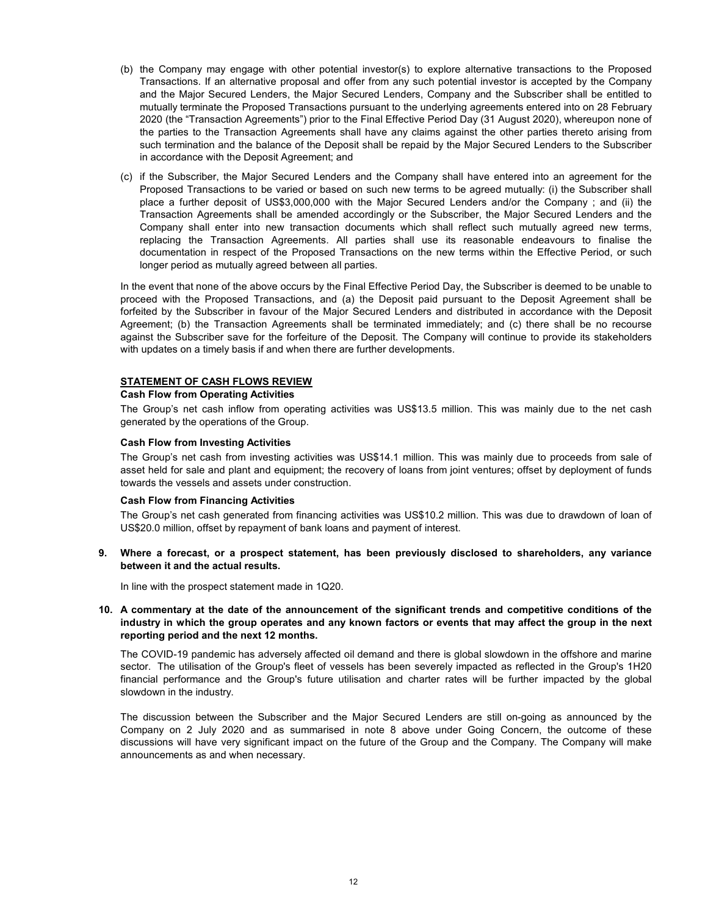- (b) the Company may engage with other potential investor(s) to explore alternative transactions to the Proposed Transactions. If an alternative proposal and offer from any such potential investor is accepted by the Company and the Major Secured Lenders, the Major Secured Lenders, Company and the Subscriber shall be entitled to mutually terminate the Proposed Transactions pursuant to the underlying agreements entered into on 28 February 2020 (the "Transaction Agreements") prior to the Final Effective Period Day (31 August 2020), whereupon none of the parties to the Transaction Agreements shall have any claims against the other parties thereto arising from such termination and the balance of the Deposit shall be repaid by the Major Secured Lenders to the Subscriber in accordance with the Deposit Agreement; and
- (c) if the Subscriber, the Major Secured Lenders and the Company shall have entered into an agreement for the Proposed Transactions to be varied or based on such new terms to be agreed mutually: (i) the Subscriber shall place a further deposit of US\$3,000,000 with the Major Secured Lenders and/or the Company ; and (ii) the Transaction Agreements shall be amended accordingly or the Subscriber, the Major Secured Lenders and the Company shall enter into new transaction documents which shall reflect such mutually agreed new terms, replacing the Transaction Agreements. All parties shall use its reasonable endeavours to finalise the documentation in respect of the Proposed Transactions on the new terms within the Effective Period, or such longer period as mutually agreed between all parties.

In the event that none of the above occurs by the Final Effective Period Day, the Subscriber is deemed to be unable to proceed with the Proposed Transactions, and (a) the Deposit paid pursuant to the Deposit Agreement shall be forfeited by the Subscriber in favour of the Major Secured Lenders and distributed in accordance with the Deposit Agreement; (b) the Transaction Agreements shall be terminated immediately; and (c) there shall be no recourse against the Subscriber save for the forfeiture of the Deposit. The Company will continue to provide its stakeholders with updates on a timely basis if and when there are further developments.

### STATEMENT OF CASH FLOWS REVIEW

## Cash Flow from Operating Activities

The Group's net cash inflow from operating activities was US\$13.5 million. This was mainly due to the net cash generated by the operations of the Group.

#### Cash Flow from Investing Activities

The Group's net cash from investing activities was US\$14.1 million. This was mainly due to proceeds from sale of asset held for sale and plant and equipment; the recovery of loans from joint ventures; offset by deployment of funds towards the vessels and assets under construction.

#### .Cash Flow from Financing Activities

The Group's net cash generated from financing activities was US\$10.2 million. This was due to drawdown of loan of US\$20.0 million, offset by repayment of bank loans and payment of interest.

9. Where a forecast, or a prospect statement, has been previously disclosed to shareholders, any variance between it and the actual results.

In line with the prospect statement made in 1Q20.

10. A commentary at the date of the announcement of the significant trends and competitive conditions of the industry in which the group operates and any known factors or events that may affect the group in the next reporting period and the next 12 months.

The COVID-19 pandemic has adversely affected oil demand and there is global slowdown in the offshore and marine sector. The utilisation of the Group's fleet of vessels has been severely impacted as reflected in the Group's 1H20 financial performance and the Group's future utilisation and charter rates will be further impacted by the global slowdown in the industry.

The discussion between the Subscriber and the Major Secured Lenders are still on-going as announced by the Company on 2 July 2020 and as summarised in note 8 above under Going Concern, the outcome of these discussions will have very significant impact on the future of the Group and the Company. The Company will make announcements as and when necessary.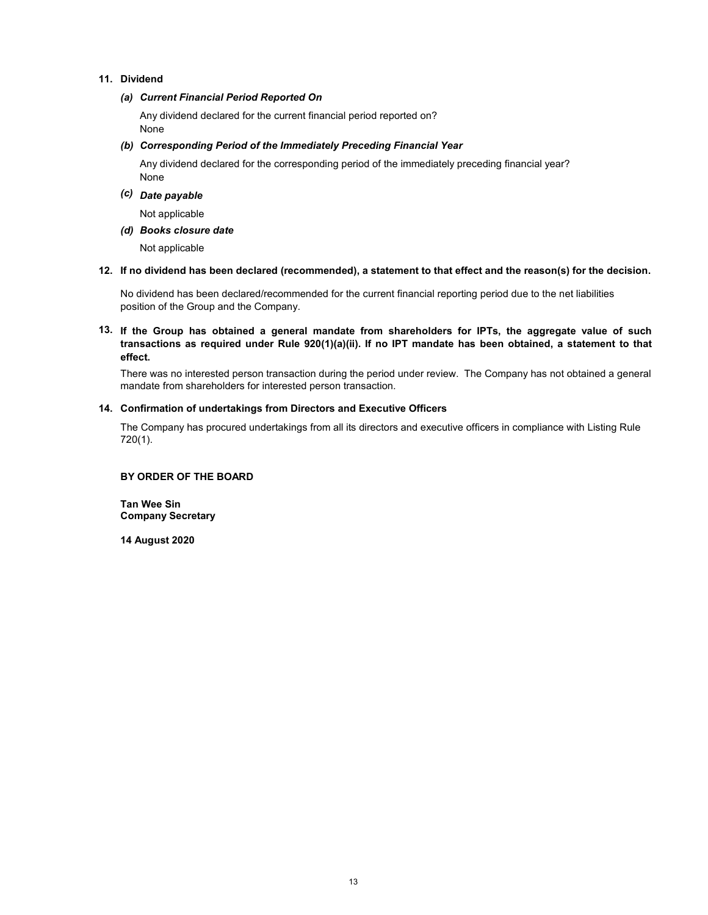## 11. Dividend

#### (a) Current Financial Period Reported On

Any dividend declared for the current financial period reported on? None

## (b) Corresponding Period of the Immediately Preceding Financial Year

None Any dividend declared for the corresponding period of the immediately preceding financial year?

# (c) Date payable

Not applicable

## (d) Books closure date

Not applicable

#### 12. If no dividend has been declared (recommended), a statement to that effect and the reason(s) for the decision.

No dividend has been declared/recommended for the current financial reporting period due to the net liabilities position of the Group and the Company.

## 13. If the Group has obtained a general mandate from shareholders for IPTs, the aggregate value of such transactions as required under Rule 920(1)(a)(ii). If no IPT mandate has been obtained, a statement to that effect.

There was no interested person transaction during the period under review. The Company has not obtained a general mandate from shareholders for interested person transaction.

### 14. Confirmation of undertakings from Directors and Executive Officers

The Company has procured undertakings from all its directors and executive officers in compliance with Listing Rule 720(1).

# BY ORDER OF THE BOARD

Tan Wee Sin Company Secretary

14 August 2020